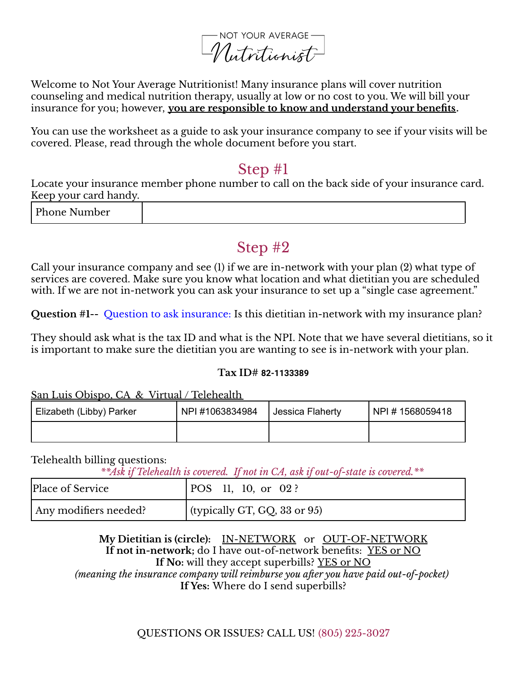NOT YOUR AVERAGE

Welcome to Not Your Average Nutritionist! Many insurance plans will cover nutrition counseling and medical nutrition therapy, usually at low or no cost to you. We will bill your insurance for you; however, **you are responsible to know and understand your benefits.**

You can use the worksheet as a guide to ask your insurance company to see if your visits will be covered. Please, read through the whole document before you start.

## Step #1

Locate your insurance member phone number to call on the back side of your insurance card. Keep your card handy.

Phone Number

# Step #2

Call your insurance company and see (1) if we are in-network with your plan (2) what type of services are covered. Make sure you know what location and what dietitian you are scheduled with. If we are not in-network you can ask your insurance to set up a "single case agreement."

**Question #1--** Question to ask insurance: Is this dietitian in-network with my insurance plan?

They should ask what is the tax ID and what is the NPI. Note that we have several dietitians, so it is important to make sure the dietitian you are wanting to see is in-network with your plan.

## **Tax ID# 82-1133389**

San Luis Obispo, CA & Virtual / Telehealth

| Elizabeth (Libby) Parker | NPI #1063834984 | Jessica Flaherty | NPI#1568059418 |
|--------------------------|-----------------|------------------|----------------|
|                          |                 |                  |                |

Telehealth billing questions:

*\*\*Ask if Telehealth is covered. If not in CA, ask if out-of-state is covered.\*\**

| Place of Service      | POS 11, 10, or 02?                |
|-----------------------|-----------------------------------|
| Any modifiers needed? | (typically GT, GQ, $33$ or $95$ ) |

**My Dietitian is (circle):** IN-NETWORK or OUT-OF-NETWORK **If not in-network;** do I have out-of-network benefits: YES or NO **If No:** will they accept superbills? YES or NO *(meaning the insurance company will reimburse you after you have paid out-of-pocket)* **If Yes:** Where do I send superbills?